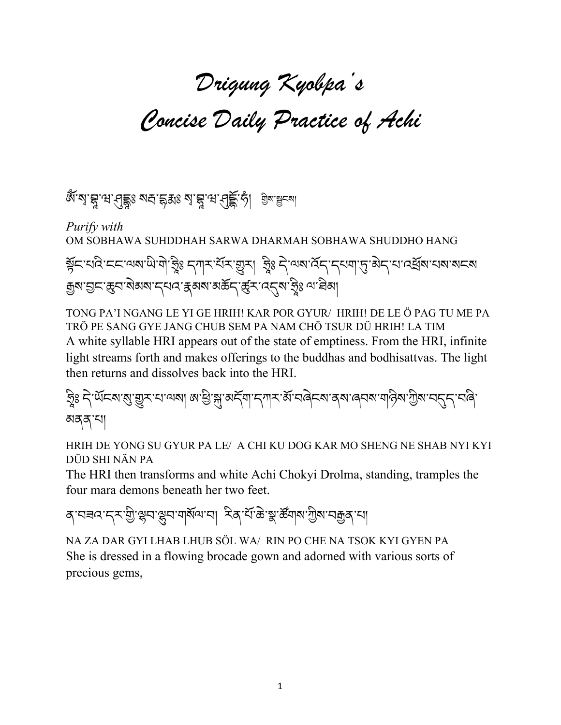# Drigung Kyobpa's Concise Daily Practice of Achi

ঞ্জু, রা.ধি.ধি. স্রার্থ স্রার্থ বেলি স্ট্রেন্স (১) স্রার্থ স্লেন্ডে

*Purify with* OM SOBHAWA SUHDDHAH SARWA DHARMAH SOBHAWA SHUDDHO HANG ब्रॅन्'चंदे'न्न्यूबाले'ब्रेडि स्थित्रार् स्थिति । ईेडि नुज्जलार्पर्न्यार्थिति अस्यात्रस्थान्याः स्थिति स्थिति ا<br>ا @ ا<br>ا @ क्कुष'घुम'ळुम'बेअष'म्यद'क्ष्रबा'बर्क्षम्'र्ळुम'त्युष'ञ्ज्ञेऽ व्य'वेब्ग् @

TONG PA'I NGANG LE YI GE HRIH! KAR POR GYUR/ HRIH! DE LE Ö PAG TU ME PA TRÖ PE SANG GYE JANG CHUB SEM PA NAM CHÖ TSUR DÜ HRIH! LA TIM A white syllable HRI appears out of the state of emptiness. From the HRI, infinite light streams forth and makes offerings to the buddhas and bodhisattvas. The light then returns and dissolves back into the HRI.

ફ્રિટ 5 પૅબૅદ્ર્ય:શુ:સુ:૨૪:વ્યત્ર| લ'છે:སྐུ་མོབ་དཀར་མོ་བའེངས་ནས་ལུབས་གའིས་ཀྱིས་བདུང་བའི་ མནན་པ།

HRIH DE YONG SU GYUR PA LE/ A CHI KU DOG KAR MO SHENG NE SHAB NYI KYI DÜD SHI NӒN PA

The HRI then transforms and white Achi Chokyi Drolma, standing, tramples the four mara demons beneath her two feet.

ৰ্`নৰন`ন্স`থ্ৰী`স্ক্ৰন`স্ক্ৰন`ন| স্বি`ৰ্শিষ্ট`স্ক'ৰ্জন|মাত্ৰীৰ`ন|

NA ZA DAR GYI LHAB LHUB SÖL WA/ RIN PO CHE NA TSOK KYI GYEN PA She is dressed in a flowing brocade gown and adorned with various sorts of precious gems,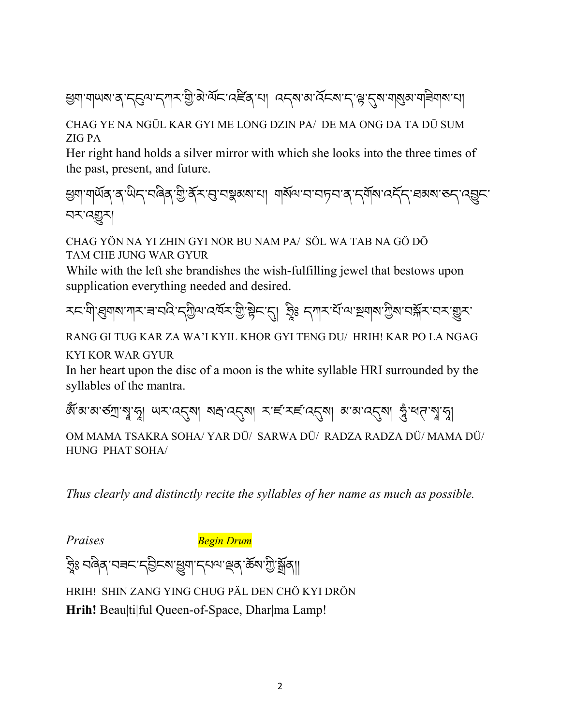सुषा'गण्षा'व'दसुल'दगार'ग्री'अे'र्याद'तहेवाया वद्या अर्देद्य'द"सु'दुर्य'गञ्जुब'ग्रह्मेणवाया

#### CHAG YE NA NGÜL KAR GYI ME LONG DZIN PA/ DE MA ONG DA TA DÜ SUM ZIG PA

Her right hand holds a silver mirror with which she looks into the three times of the past, present, and future.

শ্ৰুণাশৰ্মৰ ব'মীন'নৰিৰ শ্ৰী'ৰ্কু-শ্ৰে'নম্ভ্ৰুৰম'না শৰ্মান'ন'নচন'ৰ 'নৰ্মান'নেৰ্ন্ন' ৰৰমৰ 'ৰন্নুন' নম্মুম

CHAG YÖN NA YI ZHIN GYI NOR BU NAM PA/ SÖL WA TAB NA GÖ DÖ TAM CHE JUNG WAR GYUR

While with the left she brandishes the wish-fulfilling jewel that bestows upon supplication everything needed and desired.

རང་གེ་རུགས་ཀར་<code>ᡜ་བའི་དགྱིལ་འ៲</mark>ོན་རྲེ་རྲེང་དུ། རྲི་ དཀར་རོ་ལ་རྲགས་ཀྱིས་བརོན་ར་བར་གྱུར་</code>

RANG GI TUG KAR ZA WA'I KYIL KHOR GYI TENG DU/ HRIH! KAR PO LA NGAG KYI KOR WAR GYUR

In her heart upon the disc of a moon is the white syllable HRI surrounded by the syllables of the mantra.

ঞ্জঁঅ'ঝ'ন্ডী আর্'বর্নী (সাম্রার্থ সাম্রার্থ সাম্রার্থ সাম্রার্থ সাম্রার্থ সাম্রার্থ সাম্রার্থ সাম্রা @ @

OM MAMA TSAKRA SOHA/ YAR DÜ/ SARWA DÜ/ RADZA RADZA DÜ/ MAMA DÜ/ HUNG PHAT SOHA/

*Thus clearly and distinctly recite the syllables of her name as much as possible.* 

*Praises Begin Drum*

? ཿ བཞིན་བཟང་དIིངས་rག་དཔལ་sན་ཆོས་Wི་tོན།། ׅ֘֒֝ @

HRIH! SHIN ZANG YING CHUG PӒL DEN CHÖ KYI DRÖN

**Hrih!** Beau|ti|ful Queen-of-Space, Dhar|ma Lamp!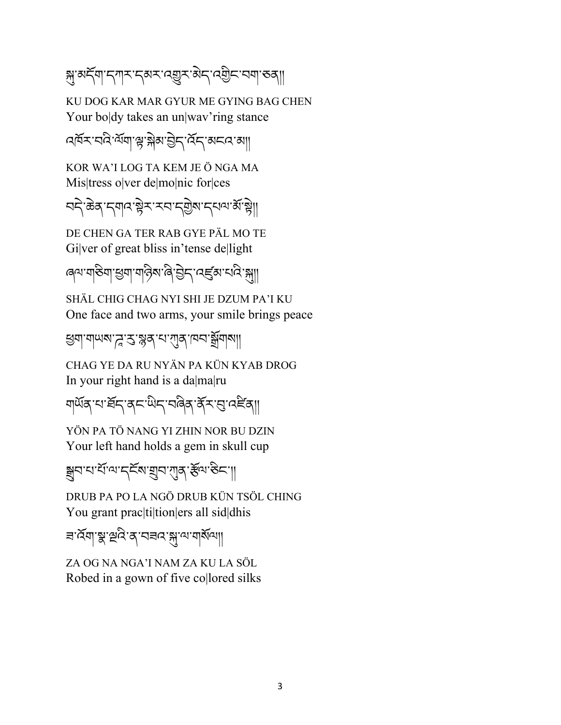স্ন'ঝর্ন্ম'ন্সেম'ন্কেম'ন্স্রুম'ঝ্ন্স্'ন্স্ম'ন্স্ম'ভব্

KU DOG KAR MAR GYUR ME GYING BAG CHEN Your boldy takes an un|way'ring stance

বর্ষিমাবনি মাঁবা স্নাস্ক্রীয়া ব্রীমা ব্রিমা কাৰ্য আ

KOR WA'I LOG TA KEM JE Ö NGA MA Mis|tress o|ver de|mo|nic for|ces

བདེ་ཆེན་དགའ་8ེར་རབ་ད4ེས་དཔལ་མོ་8ེ།།

DE CHEN GA TER RAB GYE PӒL MO TE Gilver of great bliss in'tense dellight

ৰেশ'যান্তমা'শ্ৰুমা'নান্টম'ৰি'ট্ৰান' বেৰ্ল্ডম'যবি'ঙ্গা৷

SHӒL CHIG CHAG NYI SHI JE DZUM PA'I KU One face and two arms, your smile brings peace

স্ত্রনা নামকা সুঁ: সুরু বা মার্কা নের স্ক্রীনার্বা

CHAG YE DA RU NYӒN PA KÜN KYAB DROG In your right hand is a da|ma|ru

য়ড়য়৸ৼৗ৸ৼয়৸ঢ়৸ড়৸৸৸৸৸৸৸৸৸৸৸৸৸৸৸

YÖN PA TÖ NANG YI ZHIN NOR BU DZIN Your left hand holds a gem in skull cup

ক্সবাধানাৰ বিভাগৰ পৰি কৰা হৈছে।

DRUB PA PO LA NGÖ DRUB KÜN TSÖL CHING You grant prac|ti|tion|ers all sid|dhis

ন'ৰ্ম্মা'গ্ল'প্ৰত্ৰ'ৰ'মন্ম'ণ'মাৰ্ম্মণা

ZA OG NA NGA'I NAM ZA KU LA SÖL Robed in a gown of five co|lored silks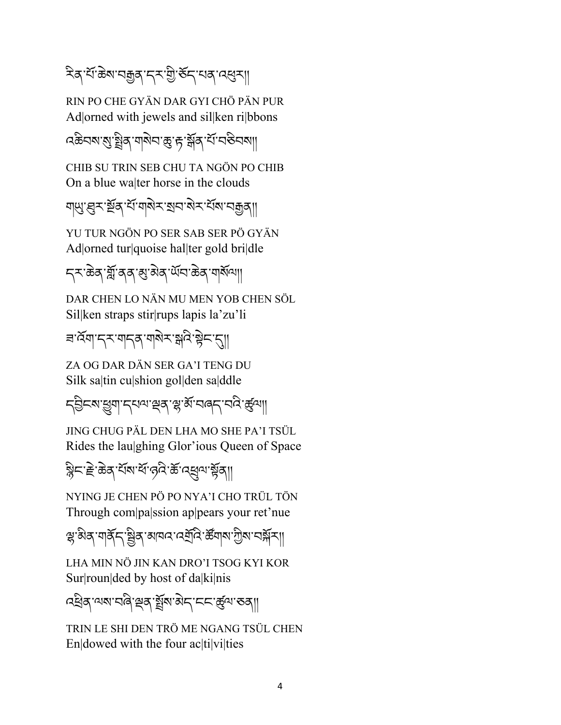ঽিঝ় শ্ৰীজমানক্সৰ দেখাই কিন্তা ব্যৱস্থা

RIN PO CHE GYӒN DAR GYI CHÖ PӒN PUR Ad|orned with jewels and sil|ken ri|bbons

বঞ্চবম'মু'ষ্ট্ৰিব'শৰ্মিন'ক্ৰ'দ'ৰ্শ্লব'ৰ্শ'বজিবমা।

CHIB SU TRIN SEB CHU TA NGÖN PO CHIB On a blue wa|ter horse in the clouds

গ্মু' ব্ৰুম'ৰ্শ্ৰুৰ' শিত্ৰাৰী সম্প্ৰাণ কৰা বিষয়া

YU TUR NGÖN PO SER SAB SER PÖ GYÄN Ad|orned tur|quoise hal|ter gold bri|dle

ॸ्रुः क्रेद् भूँगं वृत् खुर्ग् सेव् र्य्यन्ग केव् 'ग]

DAR CHEN LO NӒN MU MEN YOB CHEN SÖL Sil|ken straps stir|rups lapis la'zu'li

ब**ॅ**यादरणदवण्येरञ्जदेश्वेदस्

ZA OG DAR DӒN SER GA'I TENG DU Silk sa|tin cu|shion gol|den sa|ddle

८३८४ हुया दयवा स्व सुर्भे चलत् चत्रे हुवा।

JING CHUG PӒL DEN LHA MO SHE PA'I TSÜL Rides the lau|ghing Glor'ious Queen of Space

ষ্ট্ৰিন' দ্ৰী ক্ৰি' শ্ৰম'ৰ্মী ক্ৰি' ব্ৰিণ কৰি কি

NYING JE CHEN PÖ PO NYA'I CHO TRÜL TÖN Through com|pa|ssion ap|pears your ret'nue

স্থ'ষ্ণৰ,'মাৰ্ষ্ক,'ষ্ট্ৰৰ,'ৰানন'নেৰ্ম্ৰণ,'ৰ্ষ্কনামাৰী'ৰ মুখ

LHA MIN NÖ JIN KAN DRO'I TSOG KYI KOR Sur|roun|ded by host of da|ki|nis

ব্ধ্ৰিষ্'ঝ্ম'বাৰ্ৰ'শ্ৰুষ্'গ্ৰুম'ন্নি' ক্ৰেন্থাৰ্' কৰা

TRIN LE SHI DEN TRÖ ME NGANG TSÜL CHEN En|dowed with the four ac|ti|vi|ties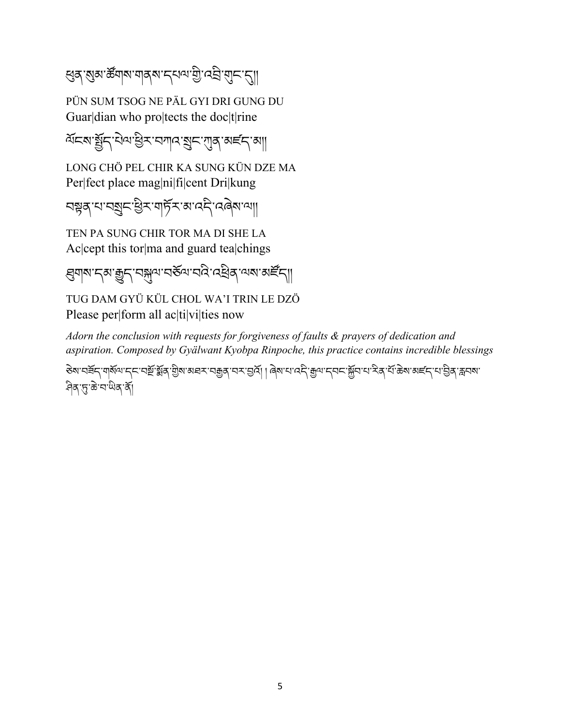લुव् 'ह्युव्र'र्क्षव्य'बाब्*ष'द्धव्य'यु*'द्यु 'ब्र्व्ह्य'स्ट्रा

PÜN SUM TSOG NE PӒL GYI DRI GUNG DU Guar|dian who pro|tects the doc|t|rine

ৰ্শনৰ জুঁন থিৰ ভিৰাসন বিনিমাৰ কাৰ্য কৰি

LONG CHÖ PEL CHIR KA SUNG KÜN DZE MA Per|fect place mag|ni|fi|cent Dri|kung

བ8ན་པ་བåང་Rིར་གཏོར་མ་འདི་འཞེས་ལ།།

TEN PA SUNG CHIR TOR MA DI SHE LA Ac|cept this tor|ma and guard tea|chings

ঀ্লমাম'ন্ম'ক্সুন'ন্সুম'নৰ্ভম'ন্নই'ন্নেইৰ্'ম্মম'ৰ্মাইন্

TUG DAM GYÜ KÜL CHOL WA'I TRIN LE DZÖ Please per|form all ac|ti|vi|ties now

*Adorn the conclusion with requests for forgiveness of faults & prayers of dedication and aspiration. Composed by Gyälwant Kyobpa Rinpoche, this practice contains incredible blessings*

डे़बाद्मिन् यार्षेलान्तारसिंग्लें कुछा असरायक्कुल्यराञ्जें । बिबायादनिकुलान्तम् अन्यान्तर्भिन् । अन्यान्ता अस् <u>नि</u>दा कुछा चाले करने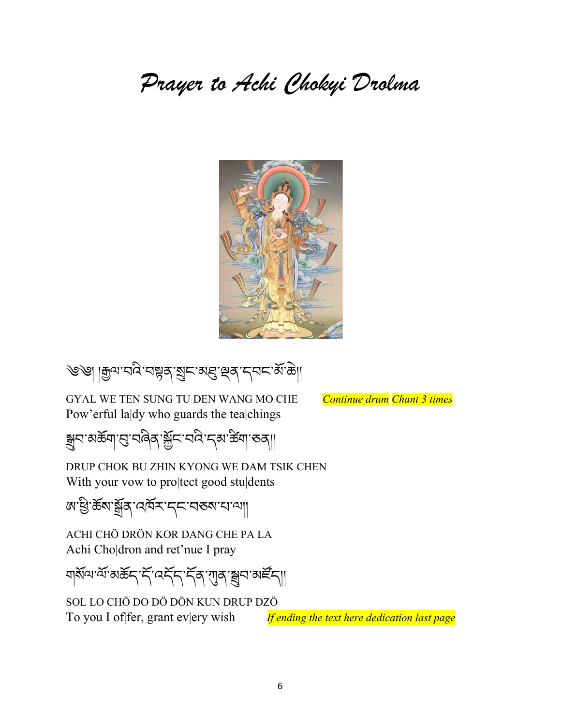### Prayer to Achi Chokyi Drolma



৩৩| | দ্ৰুন'বৰ্বি'বঙ্গুৰ্' মুন'মন্ত্ৰ' শ্ৰুৰ' দ্বন'ৰ্ম' ক্লা

GYAL WE TEN SUNG TU DEN WANG MO CHE *Continue drum Chant 3 times* Pow'erful la|dy who guards the tea|chings

ক্সুন'ঝৰ্ক্সা'ন্ড্'নৰিব্'ৰ্ক্সঁন'ন্ম'ক্লি'সেৱা'ত্ৰ্যা

DRUP CHOK BU ZHIN KYONG WE DAM TSIK CHEN With your vow to pro|tect good stu|dents

জ্য ষ্ট্ৰিক্ষ জুৰ বেদ্ৰু ক্ৰমেণ কৰা বাৰা

ACHI CHÖ DRÖN KOR DANG CHE PA LA Achi Cho|dron and ret'nue I pray

<u>বার্মনে'মি'মস্কিন'র্দিন'দিব'য়াৰ'ম্লন'মাইন্</u>য

SOL LO CHÖ DO DÖ DÖN KUN DRUP DZÖ To you I of fer, grant every wish *If ending the text here dedication last page*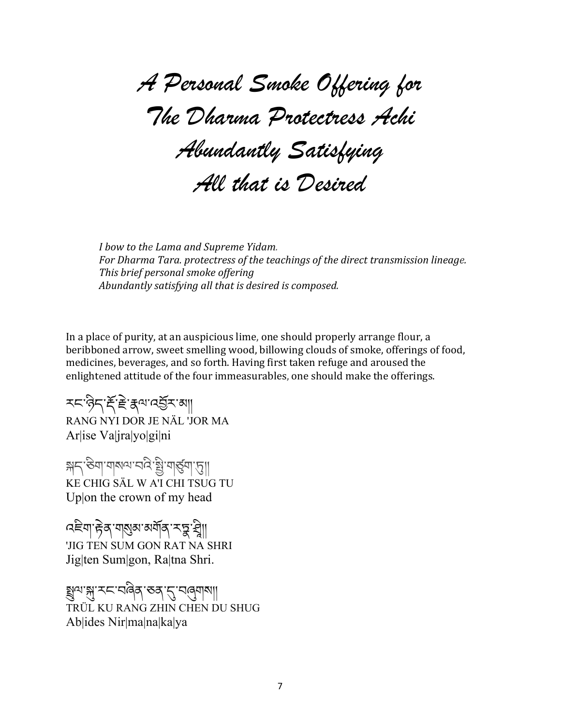A Personal Smoke Offering for The Dharma Protectress Achi Abundantly Satisfying All that is Desired

*<i>I* bow to the Lama and Supreme Yidam. For Dharma Tara. protectress of the teachings of the direct transmission lineage. **This brief personal smoke offering** Abundantly satisfying all that is desired is composed.

In a place of purity, at an auspicious lime, one should properly arrange flour, a beribboned arrow, sweet smelling wood, billowing clouds of smoke, offerings of food, medicines, beverages, and so forth. Having first taken refuge and aroused the enlightened attitude of the four immeasurables, one should make the offerings.

རང་ཉིད་ìོ་Üེ་Lལ་འIོར་མ།། RANG NYI DOR JE NÄL 'JOR MA Ar|ise Va|jra|yo|gi|ni

क्षद स्वा मानवान के बुग्ग के KE CHIG SÄL W A'I CHI TSUG TU Up|on the crown of my head

৭ইশ দ্বিৰ্ শৰ্ষ্ণৰ অৰ্মৰ্ শহ্ন শ্বী||  $\ddot{\phantom{a}}$ @ 'JIG TEN SUM GON RAT NA SHRI Jig|ten Sum|gon, Ra|tna Shri.

క్షబ'న్ల"నడ్డార్శివేడ్ 'చెత్తు TRÜL KU RANG ZHIN CHEN DU SHUG Ab|ides Nir|ma|na|ka|ya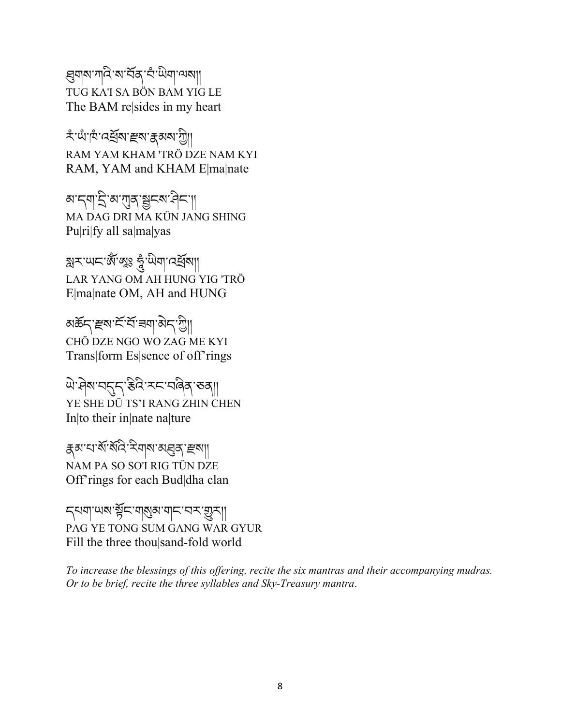্ল্ননাথ'শাৰ্ম'ৰাইৰ্'নীমীনস্থা TUG KA'I SA BÖN BAM YIG LE The BAM re|sides in my heart

\*'ਘੰ'।¤ੰ'নৰ্শ্ৰম' স্থৰুম'ৰ্ক্সম'শ্ৰী| RAM YAM KHAM 'TRÖ DZE NAM KYI RAM, YAM and KHAM E|ma|nate

མ་དག་རྲི་མ་ཀུན་སྱུངས་མིང་།། MA DAG DRI MA KÜN JANG SHING Pu|ri|fy all sa|ma|yas

স্নিম'ਘম'&ঁ'গ্লুঃ ক্লু'ਘેনা'নেৰ্শ্ৰমা|| LAR YANG OM AH HUNG YIG 'TRÖ E|ma|nate OM, AH and HUNG

<u>য়ঌৼৼৼড়ড়ৼৼড়ড়ড়ড়ড়ড়৸ড়৸ড়৸</u> CHÖ DZE NGO WO ZAG ME KYI Trans|form Es|sence of off'rings

.<br>ਘੋ<sup>:</sup>ମेष'चनुन्'हैत्रे'म्द'चढेव् 'रुव्|| YE SHE DÜ TS'I RANG ZHIN CHEN In|to their in|nate na|ture

Lམ་པ་སོ་སོའི་རིགས་མfན་õས།། NAM PA SO SO'I RIG TÜN DZE Off'rings for each Bud|dha clan

5 มา พลาสัย จากสุขา จะ จะ จะ จาก PAG YE TONG SUM GANG WAR GYUR Fill the three thou|sand-fold world

*To increase the blessings of this offering, recite the six mantras and their accompanying mudras. Or to be brief, recite the three syllables and Sky-Treasury mantra*.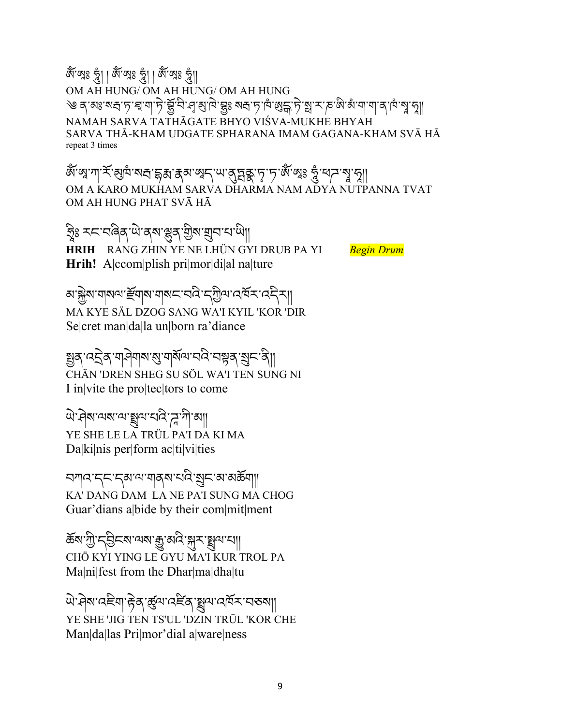ঞ্জি' গ্লুঃ ব্লু। জি'গ্লুঃ ব্লু॥ OM AH HUNG/ OM AH HUNG/ OM AH HUNG ༄ ན་མཿ་ས,་ཏ་¢ཱ་ག་ཏེ་£ོ་བི་§་Ö་ཁེ་£ཿ ས,་ཏ་ཁཾ་•¶ྒ་ཏེ་®ྥ་ར་ཎ་ཨི་མཾ་ག་ག་ན་ཁཾ་m@ ་n།། NAMAH SARVA TATHĀGATE BHYO VIŚVA-MUKHE BHYAH SARVA THĀ-KHAM UDGATE SPHARANA IMAM GAGANA-KHAM SVĀ HĀ repeat 3 times

ঞ্জঁ'ল্ম'শা'×ॅ'ঝ্ৰান্ম'ন্দান্ধ'ক্কা'ক্কা'ল্মন্''আৰু মুক্তা'ৰ্মু'মুখুমুখুমুখুমুখুমুখু @ OM A KARO MUKHAM SARVA DHARMA NAM ADYA NUTPANNA TVAT OM AH HUNG PHAT SVĀ HĀ

ક્રિટ 大દ્દા વહેવ ખેડવેલ કર્યું કે જ્ઞાર્ચિટ સાથી ׅ֘֒֝ @ **HRIH** RANG ZHIN YE NE LHÜN GYI DRUB PA YI *Begin Drum* **Hrih!** A|ccom|plish pri|mor|di|al na|ture

अॱऄৣয়ॱয∣য়৽৸ॱङ्टॅय|য়ৼঢ়৶ৼ৸ড়ৼ৸ড়৻৸৻৸ঢ়৸ঢ়৸ঢ়৸ঢ়৸ MA KYE SÄL DZOG SANG WA'I KYIL 'KOR 'DIR Se|cret man|da|la un|born ra'diance

ક્ષુત્ર વદ્ગેત્ર વાસેવાજણ વાર્ષેત્વ વધે વધુત્ર જ્ઞુદ ત્રે|| CHÄN 'DREN SHEG SU SÖL WA'I TEN SUNG NI I in|vite the pro|tec|tors to come

ঐ`প্ৰথ'থথ'শ'খ্ৰুণ'থৰ্ দু'শী'ঋ YE SHE LE LA TRÜL PA'I DA KI MA Da|ki|nis per|form ac|ti|vi|ties

བཀའ་དང་དམ་ལ་གནས་པའི་åང་མ་མཆོག།། KA' DANG DAM LA NE PA'I SUNG MA CHOG Guar'dians a|bide by their com|mit|ment

ৰ্জ্ঞাপ্ৰী, দ্ৰীদ্ৰাল্লাৰ্জ্য প্ৰাৰ্থ্য শ্ৰীদ্ৰাল্লী। CHÖ KYI YING LE GYU MA'I KUR TROL PA Ma|ni|fest from the Dhar|ma|dha|tu

थे' मेरा' दहेवा' हेत्र' कुष्य' दहेव 'ह्युव्य' दावर स्वा YE SHE 'JIG TEN TS'UL 'DZIN TRÜL 'KOR CHE Man|da|las Pri|mor'dial a|ware|ness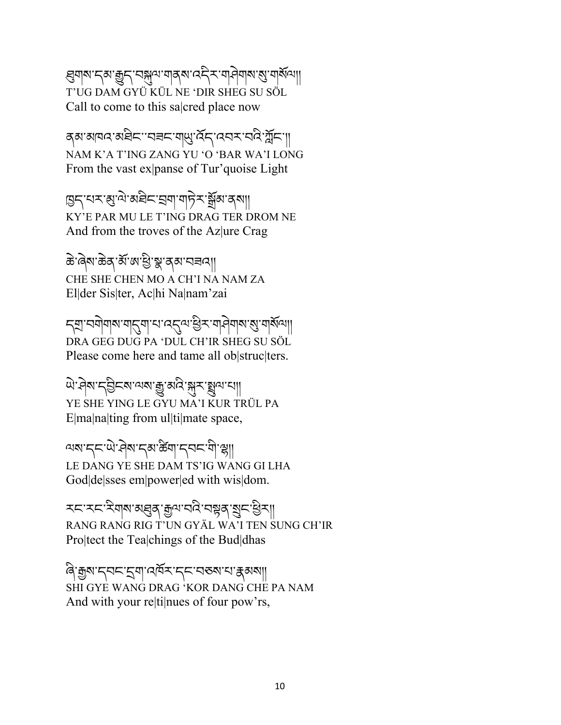(ह्यवाबाद्ध्याञ्चेद्ध्याञ्चलाद्युत्राज्ञनेवाबाद्याज्ञात्राज्ञ T'UG DAM GYÜ KÜL NE 'DIR SHEG SU SÖL Call to come to this sa|cred place now

ব্ৰা মানব'ৰ্মাইন''বৰ্মা মুখ'ৰ্ট্ন'ব্বৰ্ম'ব্ৰবি'ৰ্ম্লন'| NAM K'A T'ING ZANG YU 'O 'BAR WA'I LONG From the vast ex panse of Tur'quoise Light

इन्'यर'बु'वे'ब्रुवेन्'ञ्ज्षा'गुर्नेर'र्भ्रुव्य'व्आ KY'E PAR MU LE T'ING DRAG TER DROM NE And from the troves of the Az ure Crag

<u>ଈ</u>ॱढ़ेष"ॐब्दाअँ अास्त्रे अध्यान्नवा CHE SHE CHEN MO A CH'I NA NAM ZA El|der Sis|ter, Ac|hi Na|nam'zai

ॸऺॖॻॱॸॺॊॺॺॱॺऻॖॸॖ॔ॺॱॸॱॸॎऺड़ऀॴख़ऀॸॴॷॴॴख़ॱख़ॷऻ DRA GEG DUG PA 'DUL CH'IR SHEG SU SÖL Please come here and tame all ob struc ters.

ཡེ་ཤེས་དIིངས་ལས་ç་མའི་Sར་ôལ་པ།། YE SHE YING LE GYU MA'I KUR TRÜL PA E|ma|na|ting from ul|ti|mate space,

ལས་དང་ལེ་འེས་དམ་ಹིག་དབང་གི་ལྲ།། LE DANG YE SHE DAM TS'IG WANG GI LHA God|de|sses em|power|ed with wis|dom.

རང་རང་རིགས་མརུན་རྒྱལ་བའི་བསྐན་སྲུང་རྱིར།། RANG RANG RIG T'UN GYÄL WA'I TEN SUNG CH'IR Pro|tect the Tea|chings of the Bud|dhas

ৰি`ক্ৰুম'ন্নন'ন্নুন'ন্নমিন'ন্নন'নকম'ন'ক্কমমা| SHI GYE WANG DRAG 'KOR DANG CHE PA NAM And with your re|ti|nues of four pow'rs,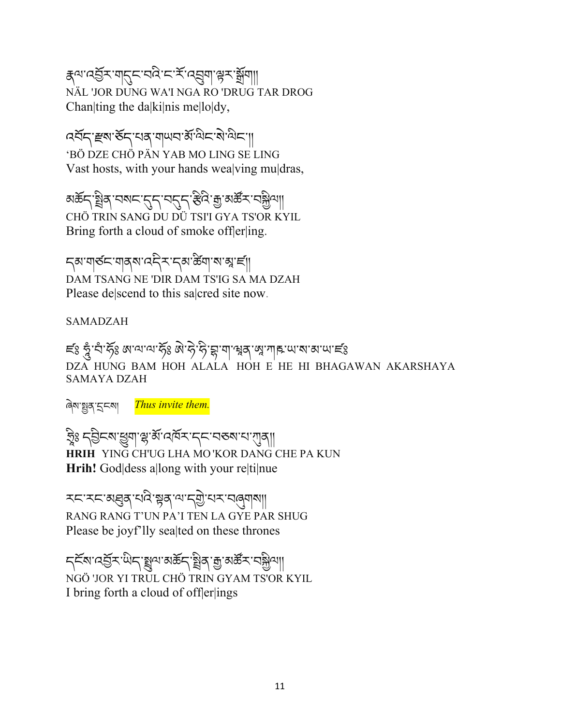ह्याद्धरागतुमार्यदाराम् स्वयुगा हरार्भुगा NÄL 'JOR DUNG WA'I NGA RO 'DRUG TAR DROG Chan|ting the da|ki|nis me|lo|dy,

འབོད་õས་ཅོད་པན་གཡབ་མོ་ལིང་སེ་ལིང་།། 'BÖ DZE CHÖ PÄN YAB MO LING SE LING Vast hosts, with your hands wea|ving mu|dras,

अर्केन्'ञ्चेत्'न्सन्'नुन्'न्सन्'हेथे'कु'अर्केन्'नञ्ज्षेथा॥ CHÖ TRIN SANG DU DÜ TSI'I GYA TS'OR KYIL Bring forth a cloud of smoke offerling.

ॸॣॺॱॺऻॺ॔ॸॱॺऻॺॣॺॱढ़ॸॣॸॱॸॣॺॱख़ॕॺॱॺॱॺॣॱॸऻ॔॥ DAM TSANG NE 'DIR DAM TS'IG SA MA DZAH Please de|scend to this sa|cred site now.

SAMADZAH

ಕ್ಷ್ ಕ್ಷೆ ಸೆರ್್ಬೆ ಡಿಇಂಗ್ ಸ್ಟೇಷ್ ಮಾಡಿದ್ದಾರೆ. ಕ್ಷಿಣ್ಣ ಸಂಸ್ಥೆಗಳು ಅಂಗ್ ಸಂಸ್ಥೆಗಳು ಸಂಸ್ಥೆಗಳು DZA HUNG BAM HOH ALALA HOH E HE HI BHAGAWAN AKARSHAYA SAMAYA DZAH

ৰিম'ষ্ট্ৰব'হ<মা *Thus invite them.* 

ક્રિટ ન્ઉન્શિ झुबा स्ल्यू अप्रदार स्थान के  $\ddot{\phantom{a}}$ @ **HRIH** YING CH'UG LHA MO 'KOR DANG CHE PA KUN **Hrih!** God|dess a|long with your re|ti|nue

རང་རང་མfན་པའི་8ན་ལ་ད4ེ་པར་བöགས།། RANG RANG T'UN PA'I TEN LA GYE PAR SHUG Please be joyf'lly sea ted on these thrones

ॸॣॾॕॺॱঽॕॖॾॱऀऄॸॱख़ॣॴॳख़ॱॷॳॱॷॱॴख़ॱॷॎॵ NGÖ 'JOR YI TRUL CHÖ TRIN GYAM TS'OR KYIL I bring forth a cloud of off $|er|$ ings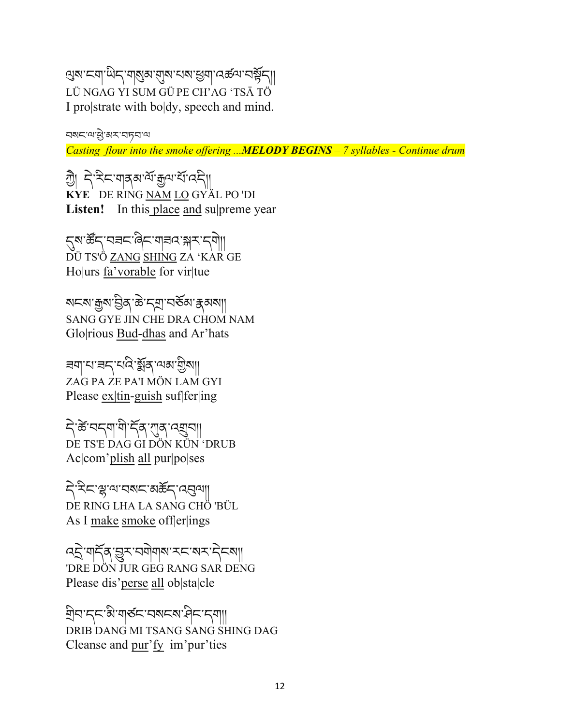अबाद्याप्तिदार्याञ्चेषाराज्ञा सर्वे अप्यक्षेत LÜ NGAG YI SUM GÜ PE CH'AG 'TSÄ TÖ I pro|strate with bo|dy, speech and mind.

བསང་ལ་Rེ་མར་བཏབ་ལ

*Casting flour into the smoke offering ...MELODY BEGINS – 7 syllables - Continue drum*

গ্রী নিস্নিম শাব্র ব্যার্থা বিলি **KYE** DE RING NAM LO GYÄL PO 'DI Listen! In this place and supreme year

६४:ङ्क्ष्म् स्वर्ग्वेद्द्वान् क्ष्म् स्थान् । DÜ TS'Ö <u>ZANG SHING</u> ZA 'KAR GE Ho|urs fa'vorable for vir|tue

য়নমাক্সমান্তিৰ ক্ৰান্মৰামন্ত্ৰীসকলা SANG GYE JIN CHE DRA CHOM NAM Glo|rious Bud-dhas and Ar'hats

ཟག་པ་ཟད་པའི་éོན་ལམ་4ིས།། ZAG PA ZE PA'I MÖN LAM GYI Please ex|tin-guish suf|fer|ing

ন্টিম্বেশ্মাণী দুৰ্গ এৱা বিদ্যা DE TS'E DAG GI DÖN KÜN 'DRUB Ac|com'plish all pur|po|ses

देख्या संस्था कार्या DE RING LHA LA SANG CHÖ 'BÜL As I make smoke off $|er|$ ings

द्धिं गर्दैवृञ्जूर चगेगवा रूपल्य देव्या 'DRE DÖN JUR GEG RANG SAR DENG Please dis'perse all ob|sta|cle

àིབ་དང་མི་གཙང་བསངས་ཤིང་དག།། DRIB DANG MI TSANG SANG SHING DAG Cleanse and pur'fy im'pur'ties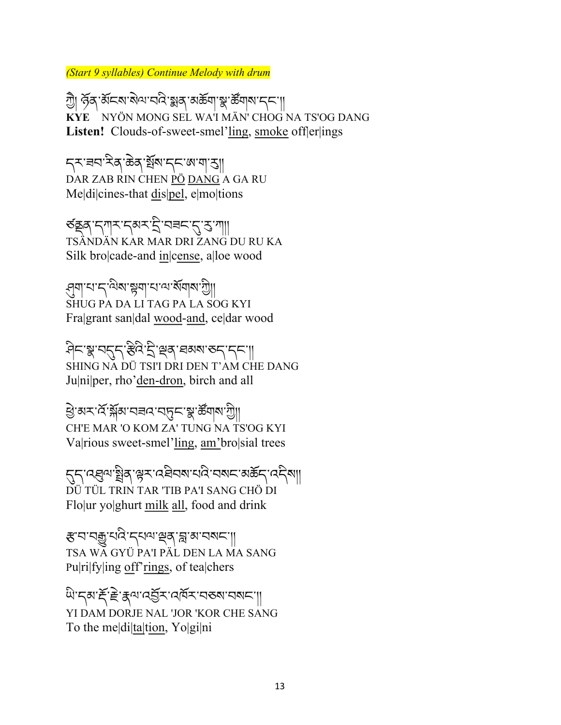*(Start 9 syllables) Continue Melody with drum* 

গ্রী স্ত্রি স্ত্রান্ডার্মান্দ্রি জ্লার্স্কার্মী বিশিক্ষার্থী **KYE** NYÖN MONG SEL WA'I MÄN' CHOG NA TS'OG DANG **Listen!** Clouds-of-sweet-smel'ling, smoke off|er|ings

*ॸ*ৼৼ न्यास्थित स्वयं स्वयं स्थान स्थान DAR ZAB RIN CHEN PÖ DANG A GA RU Me|di|cines-that dis|pel, e|mo|tions

ৰ্তঙ্কুৰ্'ন্শম'ন্মৰ্ম'ই'ন্নৰ্ন'মু'মা|| TSÄNDÄN KAR MAR DRI ZANG DU RU KA Silk bro|cade-and in|cense, a|loe wood

'ব্রনা'ন'ন'ন্সম'ঙ্গনা'ন'ন'মন্মনাম'গ্রী SHUG PA DA LI TAG PA LA SOG KYI Fra|grant san|dal wood-and, ce|dar wood

ཤིང་[་བOད་|ིའི་úི་sན་ཐམས་ཅད་དང་།། SHING NA DÜ TSI'I DRI DEN T'AM CHE DANG Ju|ni|per, rho'den-dron, birch and all

<u>ਉ</u>ੱਕ੍ਰੋਨ ਕਿੱਥੇ ਕਿੱਥੇ ਬਾਹਰ ਕਿੱਥੇ ਬਾਹਰ ਜਾਂ ਬਾਹਰ ਜਾਂ ਬਾਹਰ ਜਾਂ ਬਾਹਰ ਜਾਂ ਬਾਹਰ ਜਾਂ ਬਾਹਰ ਜਾਂ ਬਾਹਰ ਜਾਂ ਬਾਹਰ ਜਾਂ ਬਾਹਰ ਜਾਂ CH'E MAR 'O KOM ZA' TUNG NA TS'OG KYI Va|rious sweet-smel'ling, am'bro|sial trees

ह्म'त्युत्र'ञ्चैक्'श्लेर'त्रवेवरा'द्यवे'चराम्'अर्क्षम्'त्र्मेला DÜ TÜL TRIN TAR 'TIB PA'I SANG CHÖ DI Flo|ur yo|ghurt milk all, food and drink

हारायकुर्मिट्राजयाञ्जर ब्राज्ञानगरा TSA WA GYÜ PA'I PÄL DEN LA MA SANG Pu|ri|fy|ing off'rings, of tea|chers

ซิเกียร์ โล้ะ และ เจ้า เจ้า เจ้า สุ YI DAM DORJE NAL 'JOR 'KOR CHE SANG To the me|di|ta|tion, Yo|gi|ni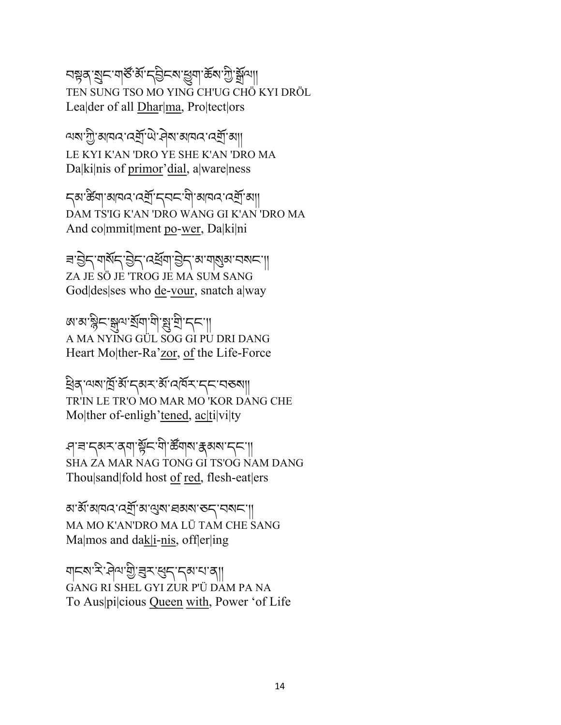নম্নৰ মুন'নাৰ্স্ত'ৰ্ম'ন্ট্ৰনৰ মুন কৰা দুৰ্শীৰ্ষ্ম TEN SUNG TSO MO YING CH'UG CHÖ KYI DRÖL Lea|der of all Dhar|ma, Pro|tect|ors

াষাস্ট্র'আবন'নের্শ্র'থ্য'দ্বিম'আবন'নের্শ্র'আ LE KYI K'AN 'DRO YE SHE K'AN 'DRO MA Da|ki|nis of primor'dial, a|ware|ness

ন্ঝ'ৰ্স্কিশ্ৰাম্মান্দেৰ্শ্ৰী'ন্ন্ন্ন' মামন'ন্ম্ৰী'মা| DAM TS'IG K'AN 'DRO WANG GI K'AN 'DRO MA And co|mmit|ment po-wer, Da|ki|ni

बॱऄॖ॒८ॱगथॅ८ॱऄ॒८ॱ८ख़ॅ्याॱऄ॒८ॱअॱगख़अॱऽअ८ॱ॥ ZA JE SÖ JE 'TROG JE MA SUM SANG God|des|ses who de-vour, snatch a|way

জ্য স্কুন স্কুন ইনা বাস্নিদ্রা দ্রা A MA NYING GÜL SOG GI PU DRI DANG Heart Mo|ther-Ra'zor, of the Life-Force

ঀ্ৰিন্ অম'ৰ্শ্ৰি'ৰ্ম্'ন্ক'ৰ্ম্ম'ৰ্ম্মিক'ন্ন' নৰুমা TR'IN LE TR'O MO MAR MO 'KOR DANG CHE Mo|ther of-enligh'tened, ac|ti|vi|ty

প্ৰাৰাদ্মস্বৰ্শাৰ্শ্পন শীৰ্ষৰ ক্ষম দৰ্শ SHA ZA MAR NAG TONG GI TS'OG NAM DANG Thou|sand|fold host of red, flesh-eat|ers

<u>ঝার্ঝাঝান বের্ম</u>ী ঝান্ত্রমা ব্রমমা তদ্বা নমাদা MA MO K'AN'DRO MA LÜ TAM CHE SANG Ma|mos and dak|i-nis, off|er|ing

बादर सेला बार के बाद का ना GANG RI SHEL GYI ZUR P'Ü DAM PA NA To Aus|pi|cious Queen with, Power 'of Life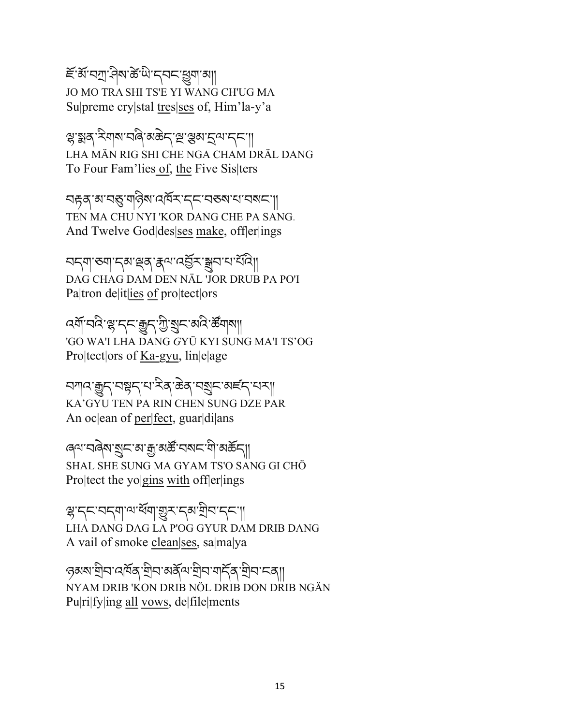is the set of the set of the set of the set of the set of the set of the set of the set of the set of the set o JO MO TRA SHI TS'E YI WANG CH'UG MA Su|preme cry|stal tres|ses of, Him'la-y'a

สู รูสุ หิตุ พิธุราช (สุ พิธุราช พิธุราช พิธุราช พิธุราช พิธุราช พิธุราช พิธุราช พิธ LHA MÄN RIG SHI CHE NGA CHAM DRÄL DANG To Four Fam'lies of, the Five Sis|ters

নদ্গৰ্শনম্ভূত্ৰান্ত্ৰীৰ নাম কৰে বিৰুদ্ধে বিৰুদ্ধে নাম TEN MA CHU NYI 'KOR DANG CHE PA SANG. And Twelve God|des|ses make, off|er|ings

নন্মাত্ত্মান্মাস্থৰ ক্ষমান্ত্ৰীসম্বানায়ী DAG CHAG DAM DEN NÄL 'JOR DRUB PA PO'I Pa|tron de|it|ies of pro|tect|ors

ক্সাঁ নন্দ্রা স্মান্দ্রা বিদ্রা বিদ্রোপ্ত করা কা 'GO WA'I LHA DANG *G*YÜ KYI SUNG MA'I TS'OG Pro|tect|ors of Ka-gyu, lin|e|age

নশান'ক্সুন্'নঙ্গুন্'ন'ম্বি'ক্টৰ্'নখ্ৰুন'মৰ্হন্'নম্| KA'GYU TEN PA RIN CHEN SUNG DZE PAR An oc|ean of per|fect, guar|di|ans

ৰ্শে'নৰ্নিম'য়ু়ান'ৰা'ক্ৰু'ৰাৰ্ক্ট'নমান'ণী'ৰাৰ্ক্তন্যা SHAL SHE SUNG MA GYAM TS'O SANG GI CHÖ Pro|tect the yo|gins with off|er|ings

স্কু'ন্ন'মন্মা'শ'ৰ্মমা'্ভ্ৰুম'ন্ম'শ্ৰীন'ন্ন'| LHA DANG DAG LA P'OG GYUR DAM DRIB DANG A vail of smoke clean|ses, sa|ma|ya

ওখম'মীন'নেৰ্মৰ,'শ্ৰীন'মৰ্ষ্ট্ৰন'মীন'মৰ্ট্ক'শ্ৰীন'ন্না NYAM DRIB 'KON DRIB NÖL DRIB DON DRIB NGÄN Pu|ri|fy|ing all vows, de|file|ments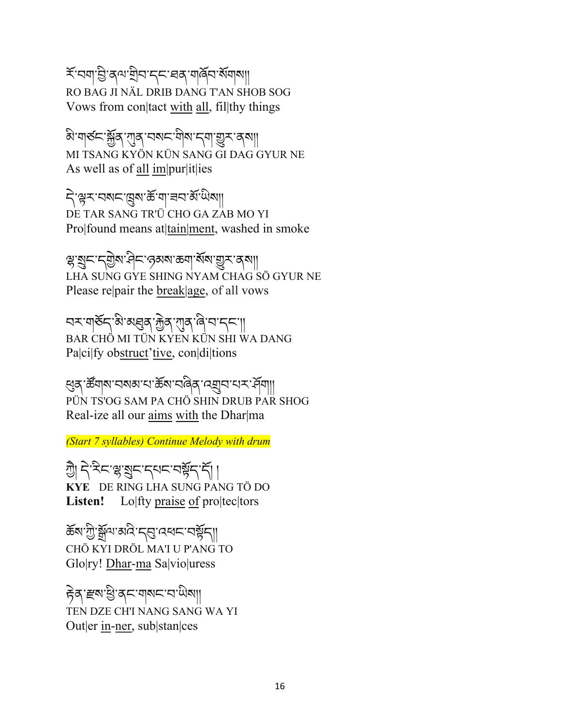র্শনেনাণ্ড্রি'ব্র্ম'শ্রীন'ব্র্ম'হার্স'মার্কিন'র্মমানা RO BAG JI NÄL DRIB DANG T'AN SHOB SOG Vows from con|tact with all, fil|thy things

बे'यार्डद'भुँव्'गुव्'चब्ग्द'योब'द्याः युरु'व्बा MI TSANG KYÖN KÜN SANG GI DAG GYUR NE As well as of all im|pur|it|ies

ने सुरागरायुषा के गावना अंधिया DE TAR SANG TR'Ü CHO GA ZAB MO YI Pro|found means at|tain|ment, washed in smoke

ৼৼর্ছান'ন্ইয়'দ্রিন'ন্তমম'ক্ত্রণ'র্মম'শ্রুন'ন্সমা LHA SUNG GYE SHING NYAM CHAG SÖ GYUR NE Please re|pair the break|age, of all vows

ব্দাৰ্ঘৰ্টন্'ৰী'মাধুৰ্ব'মূৰ্ব'নাৰ্ব'ৰ বা BAR CHÖ MI TÜN KYEN KÜN SHI WA DANG Pa|ci|fy obstruct'tive, con|di|tions

લુव्`र्क्ष्णवारायबाद्यारुवार्य्यकुर्गत्र्युद्यार्थ्यार्गः PÜN TS'OG SAM PA CHÖ SHIN DRUB PAR SHOG Real-ize all our aims with the Dhar|ma

*(Start 7 syllables) Continue Melody with drum*

খ্যী নৃষ্ট্ৰনাঞ্জুবুদ্ধ বুদ্ধ বুদ্ধ বুদ্ধ বুদ্ধ বুদ্ধ বুদ্ধ বুদ্ধ বুদ্ধ বুদ্ধ বুদ্ধ বুদ্ধ বুদ্ধ বু **KYE** DE RING LHA SUNG PANG TÖ DO Listen! Lo|fty praise of pro|tec|tors

ৰ্ক্তম'শ্ৰীষ্মুন্ম'ৰ্মাই'ন্মুখ বৰ্ষমাত্ৰী CHÖ KYI DRÖL MA'I U P'ANG TO Glo|ry! Dhar-ma Sa|vio|uress

हेव हरू सु दाया गया TEN DZE CH'I NANG SANG WA YI Out|er in-ner, sub|stan|ces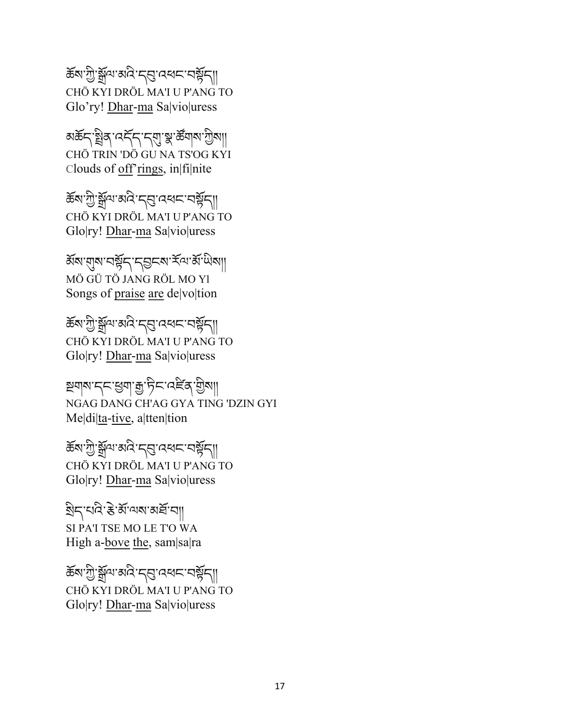ৰ্ক্তম'শ্ৰী'ৰ্মুন্ম'ঝব'ন্ন্ত'ন্ন্বৰ্ধন 'নৰ্ম্মন CHÖ KYI DRÖL MA'I U P'ANG TO Glo'ry! Dhar-ma Sa|vio|uress

अर्केन्'শ্ল্ৰিব্'নৰ্ন্দ্'ন্ন্মু'ৰ্স্ক'শ্ৰাম'খ্ৰীমা| CHÖ TRIN 'DÖ GU NA TS'OG KYI Clouds of off'rings, in|fi|nite

ৰ্ক্তম'শ্ৰী'ষ্ণুন'মেন্ত্ৰ'ব্ৰেখন'নৰ্ষ্ণন। CHÖ KYI DRÖL MA'I U P'ANG TO Glo|ry! Dhar-ma Sa|vio|uress

ৰ্ষম'য়্ম'নৰ্ষ্ট্ৰন'ন্ড্ৰনম'ৰ্মন'ৰ্ম'থিমা MÖ GÜ TÖ JANG RÖL MO Yl Songs of praise are de|vo|tion

ৰ্ক্তম'শ্ৰী'ষ্ণুন'মেন্ন' বৰ্ষৰ মা CHÖ KYI DRÖL MA'I U P'ANG TO Glo|ry! Dhar-ma Sa|vio|uress

শ্ৰমান'ব্ৰ'খুমা: দুট্ল'ব্ৰুষ্মা NGAG DANG CH'AG GYA TING 'DZIN GYI Me|di|ta-tive, a|tten|tion

ཆོས་Wི་tོལ་མའི་དb་འཕང་བ8ོད།། CHÖ KYI DRÖL MA'I U P'ANG TO Glo|ry! Dhar-ma Sa|vio|uress

## $\mathbb{E}[\mathbb{E}^{t}$ য়নি, প্ৰ $\mathbb{E}[\mathbb{E}^{t}$ য়ে (বুলি কাৰ্

SI PA'I TSE MO LE T'O WA High a-bove the, sam|sa|ra

ৰ্ক্তম'শ্ৰী`ষ্ণ্ৰঁঅ'ৰ্ম্ম' ব্ৰত্ত বেধ্বৰ বাৰ্ষ্ণবা CHÖ KYI DRÖL MA'I U P'ANG TO Glo|ry! Dhar-ma Sa|vio|uress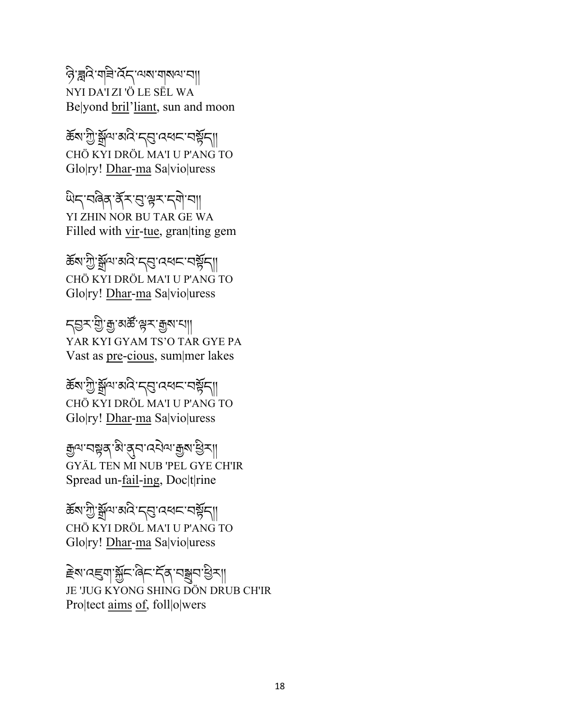### ক্টিরিম অশিলার বিদ্যালয় বিদ্যালয় NYI DA'I ZI 'Ö LE SËL WA Be|yond bril'liant, sun and moon

ৰ্জ্ঞাপ্ট ব্লুনা ৰান্ন দ্বাৰ্ত্ত কৰা কৰি ।। CHÖ KYI DRÖL MA'I U P'ANG TO Glo|ry! Dhar-ma Sa|vio|uress

थेन्'नबेबु'र्क्रॅ्स्'सु'ह्रम्'न्गा YI ZHIN NOR BU TAR GE WA Filled with vir-tue, gran|ting gem

ৰ্ক্তম'শ্ৰী`ষ্ণ্ৰঁঅ'ৰ্মণ্ৰ' ব্ৰম্বৰ অৰ্থ বা CHÖ KYI DRÖL MA'I U P'ANG TO Glo|ry! Dhar-ma Sa|vio|uress

ঀড়ৼৼড়৸ৼ৸ৗ YAR KYI GYAM TS'O TAR GYE PA Vast as pre-cious, sum|mer lakes

ৰ্জ্ঞাপ্ট'ৰ্ক্সুন'মান্ত্ৰ'ব্ৰেখেদ'নৰ্ষ্ণুন্ CHÖ KYI DRÖL MA'I U P'ANG TO Glo|ry! Dhar-ma Sa|vio|uress

मुल्यानञ्चत्रा बेग्लुनादनेला मुत्रा सुत्रा GYÄL TEN MI NUB 'PEL GYE CH'IR Spread un-fail-ing, Doc|t|rine

ཆོས་Wི་tོལ་མའི་དb་འཕང་བ8ོད།། CHÖ KYI DRÖL MA'I U P'ANG TO Glo|ry! Dhar-ma Sa|vio|uress

<u>౾</u>ॺॱढ़ड़॒ॺॱॺॢॕॸॱढ़ऀॸॱॸॕढ़ॱॸॾॖॺॱऄॗॸ॥ JE 'JUG KYONG SHING DÖN DRUB CH'IR Pro|tect aims of, foll|o|wers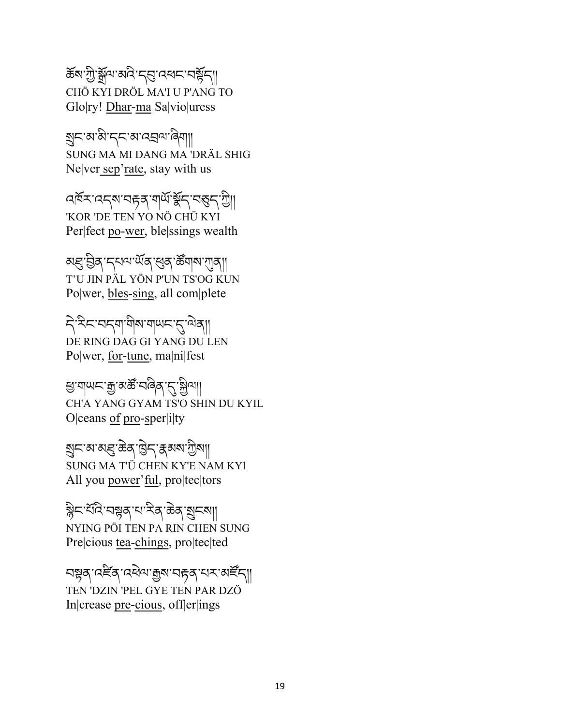ৰ্ক্তম'শ্ৰী'ৰ্মুন্ম'ৰ্মন'ৰ্মুন আৰু কৰি বিদ্যালয় কৰি বিদ্যালয় কৰি বিদ্যালয় কৰি বিদ্যালয় কৰি বিদ্যালয় কৰি ব CHÖ KYI DRÖL MA'I U P'ANG TO Glo|ry! Dhar-ma Sa|vio|uress

åང་མ་མི་དང་མ་འâལ་ཞིག།། SUNG MA MI DANG MA 'DRÄL SHIG Ne|ver sep'rate, stay with us

বর্ষম বেন্ম বিদ্গবার্থ স্কুন বস্তুন খ্যা 'KOR 'DE TEN YO NÖ CHÜ KYI Per|fect po-wer, ble|ssings wealth

अञ्च च्चेत् म् दाव्या संज्ञा सुत्रा के बाला राज्या T'U JIN PÄL YÖN P'UN TS'OG KUN Po|wer, bles-sing, all com|plete

ने देन्द्राजन्या में बार्ग के बा DE RING DAG GI YANG DU LEN Po|wer, for-tune, ma|ni|fest

झ'य|ਘ८'कु'व्यर्क्ष'ব।बैठ'*५*,'क्लैज़।। CH'A YANG GYAM TS'O SHIN DU KYIL O|ceans of pro-sper|i|ty

য়৸ৼয়ৼয়৻য়৸য়৸৸ SUNG MA T'Ü CHEN KY'E NAM KYl All you power'ful, pro|tec|tors

ৰ্ষ্ণিন'মিন্ন'ৰে'ম্বি'ক্টৰ'মুন্মা NYING PÖI TEN PA RIN CHEN SUNG Pre|cious tea-chings, pro|tec|ted

বম্নুষ্ 'বৰ্দ্নি' বৰ্ষৰ 'মুম' বৰ্দ্নৰ 'ধৰ্ম' মাৰ্দিনা TEN 'DZIN 'PEL GYE TEN PAR DZÖ In|crease pre-cious, off|er|ings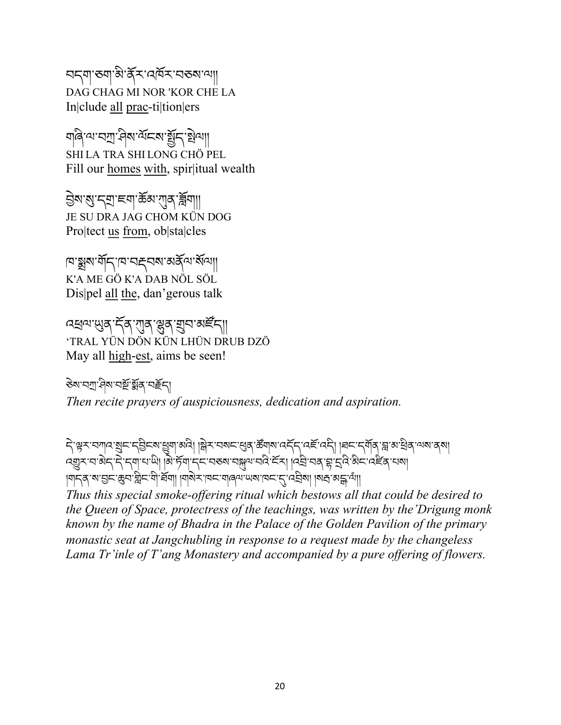བདག་ཅག་མི་ནོར་འཁོར་བཅས་ལ།། DAG CHAG MI NOR 'KOR CHE LA In|clude all prac-ti|tion|ers

ঘাৰি'ম'নসা' বিৰাপ্টাৰ SHI LA TRA SHI LONG CHÖ PEL Fill our homes with, spir|itual wealth

ইম'ম্ব'ন্ম'ৰ্শ'ৰ্জৰু'য়্মৰ ব্লিশা JE SU DRA JAG CHOM KÜN DOG Pro|tect us from, ob|sta|cles

ামা স্ক্রীর মার্টিনি মেলের বিদ্রালী K'A ME GÖ K'A DAB NÖL SÖL Dis|pel all the, dan'gerous talk

<u>বধ</u>ম্মেদ্রু দ্বি শাব্দুর য়ুন অর্দ্রনা 'TRAL YÜN DÖN KÜN LHÜN DRUB DZÖ May all high-est, aims be seen!

ཅེས་བl་ཤིས་བhོ་éོན་བÜོད། *Then recite prayers of auspiciousness, dedication and aspiration.* 

ने,'भ्रेर'नगाद'शुम'न्थिम्'।अप्री ।अस्यान्'खुब्'र्क्ष्वाष'तर्नेन'तर्हे'तम्। ।चम'न्गॅब्'ञ्च'व'खेब्'यष'व्। વ્હ્યુર વ'ਕੇદ્દ' દ્વાપા હો| હોર્મેન દિન્દા અચ્જા વક્ષુન વેદ્દર | વિદ્ય વર્ષ ફ્રાર્ટ્સિબ્રેદ્દ વર્દે ત્યા | ।याद्दर्श्यःञ्जन्म् श्लेन्द्र्भा ।यार्थन् ।यन् अन्यालयः अन्नार्थः। ।यद्यः अन्नार्थः।।

*Thus this special smoke-offering ritual which bestows all that could be desired to the Queen of Space, protectress of the teachings, was written by the'Drigung monk known by the name of Bhadra in the Palace of the Golden Pavilion of the primary monastic seat at Jangchubling in response to a request made by the changeless Lama Tr'inle of T'ang Monastery and accompanied by a pure offering of flowers.*